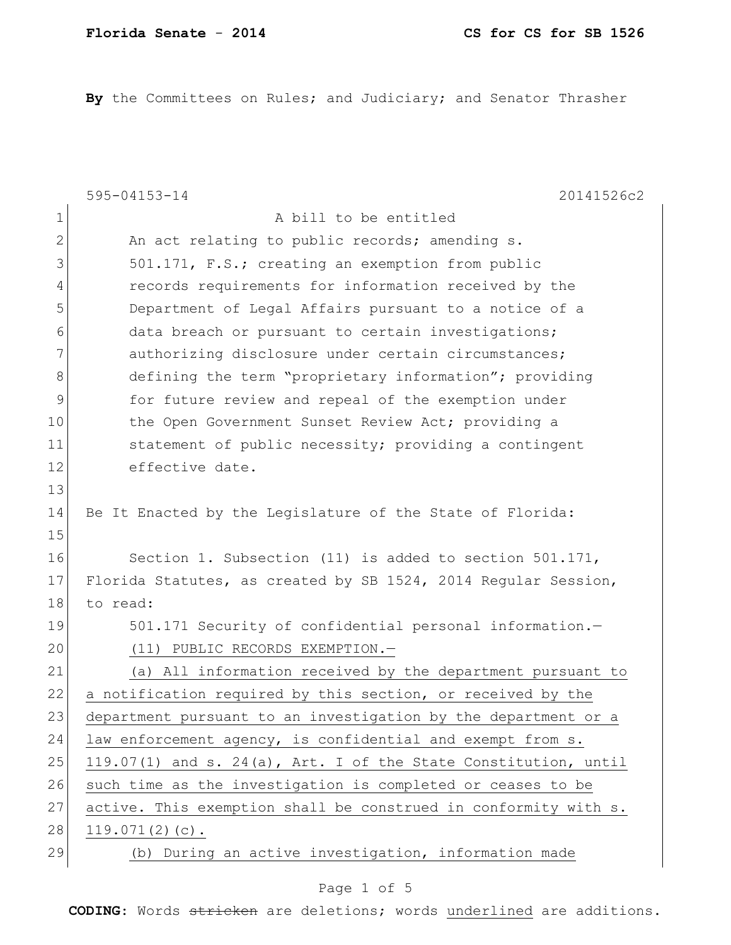**By** the Committees on Rules; and Judiciary; and Senator Thrasher

|    | $595 - 04153 - 14$<br>20141526c2                                |
|----|-----------------------------------------------------------------|
| 1  | A bill to be entitled                                           |
| 2  | An act relating to public records; amending s.                  |
| 3  | 501.171, F.S.; creating an exemption from public                |
| 4  | records requirements for information received by the            |
| 5  | Department of Legal Affairs pursuant to a notice of a           |
| 6  | data breach or pursuant to certain investigations;              |
| 7  | authorizing disclosure under certain circumstances;             |
| 8  | defining the term "proprietary information"; providing          |
| 9  | for future review and repeal of the exemption under             |
| 10 | the Open Government Sunset Review Act; providing a              |
| 11 | statement of public necessity; providing a contingent           |
| 12 | effective date.                                                 |
| 13 |                                                                 |
| 14 | Be It Enacted by the Legislature of the State of Florida:       |
| 15 |                                                                 |
| 16 | Section 1. Subsection (11) is added to section 501.171,         |
| 17 | Florida Statutes, as created by SB 1524, 2014 Regular Session,  |
| 18 | to read:                                                        |
| 19 | 501.171 Security of confidential personal information.-         |
| 20 | (11) PUBLIC RECORDS EXEMPTION.-                                 |
| 21 | All information received by the department pursuant to<br>(a)   |
| 22 | a notification required by this section, or received by the     |
| 23 | department pursuant to an investigation by the department or a  |
| 24 | law enforcement agency, is confidential and exempt from s.      |
| 25 | 119.07(1) and s. 24(a), Art. I of the State Constitution, until |
| 26 | such time as the investigation is completed or ceases to be     |
| 27 | active. This exemption shall be construed in conformity with s. |
| 28 | $119.071(2)(c)$ .                                               |
| 29 | (b) During an active investigation, information made            |

### Page 1 of 5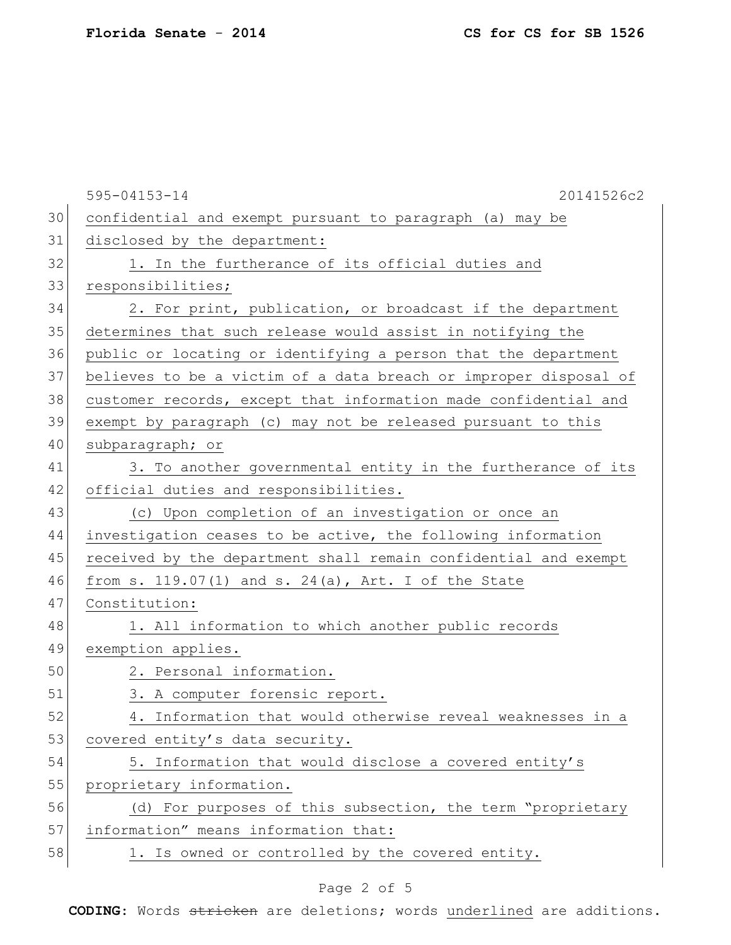|    | 595-04153-14<br>20141526c2                                       |
|----|------------------------------------------------------------------|
| 30 | confidential and exempt pursuant to paragraph (a) may be         |
| 31 | disclosed by the department:                                     |
| 32 | 1. In the furtherance of its official duties and                 |
| 33 | responsibilities;                                                |
| 34 | 2. For print, publication, or broadcast if the department        |
| 35 | determines that such release would assist in notifying the       |
| 36 | public or locating or identifying a person that the department   |
| 37 | believes to be a victim of a data breach or improper disposal of |
| 38 | customer records, except that information made confidential and  |
| 39 | exempt by paragraph (c) may not be released pursuant to this     |
| 40 | subparagraph; or                                                 |
| 41 | 3. To another governmental entity in the furtherance of its      |
| 42 | official duties and responsibilities.                            |
| 43 | (c) Upon completion of an investigation or once an               |
| 44 | investigation ceases to be active, the following information     |
| 45 | received by the department shall remain confidential and exempt  |
| 46 | from s. $119.07(1)$ and s. $24(a)$ , Art. I of the State         |
| 47 | Constitution:                                                    |
| 48 | 1. All information to which another public records               |
| 49 | exemption applies.                                               |
| 50 | 2. Personal information.                                         |
| 51 | 3. A computer forensic report.                                   |
| 52 | 4. Information that would otherwise reveal weaknesses in a       |
| 53 | covered entity's data security.                                  |
| 54 | 5. Information that would disclose a covered entity's            |
| 55 | proprietary information.                                         |
| 56 | (d) For purposes of this subsection, the term "proprietary       |
| 57 | information" means information that:                             |
| 58 | 1. Is owned or controlled by the covered entity.                 |

# Page 2 of 5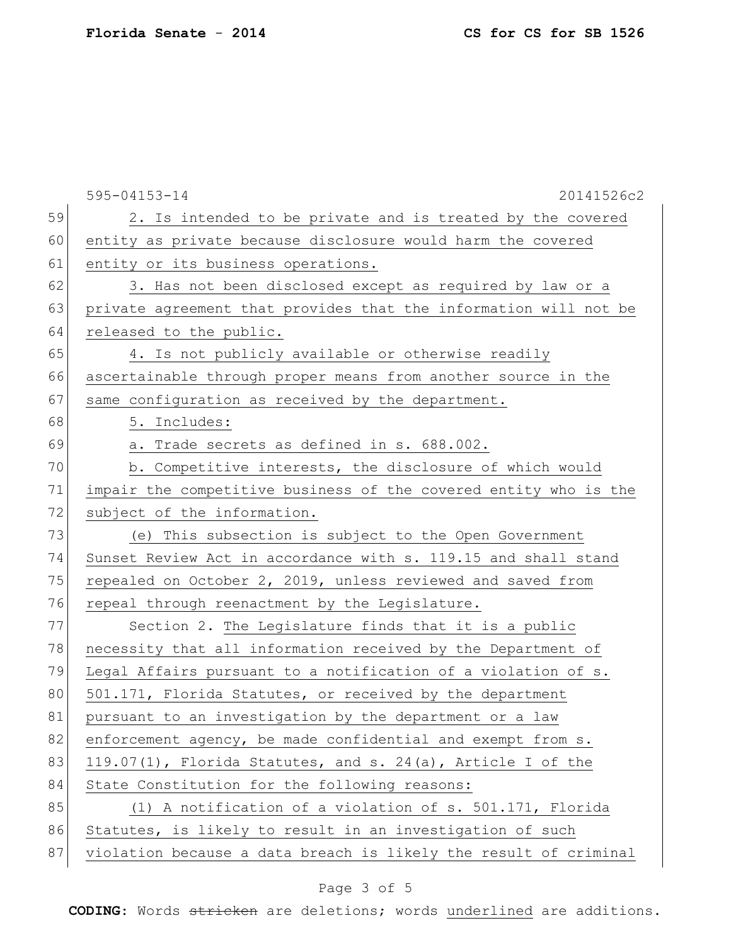|    | $595 - 04153 - 14$<br>20141526c2                                 |
|----|------------------------------------------------------------------|
| 59 | 2. Is intended to be private and is treated by the covered       |
| 60 | entity as private because disclosure would harm the covered      |
| 61 | entity or its business operations.                               |
| 62 | 3. Has not been disclosed except as required by law or a         |
| 63 | private agreement that provides that the information will not be |
| 64 | released to the public.                                          |
| 65 | 4. Is not publicly available or otherwise readily                |
| 66 | ascertainable through proper means from another source in the    |
| 67 | same configuration as received by the department.                |
| 68 | 5. Includes:                                                     |
| 69 | a. Trade secrets as defined in s. 688.002.                       |
| 70 | b. Competitive interests, the disclosure of which would          |
| 71 | impair the competitive business of the covered entity who is the |
| 72 | subject of the information.                                      |
| 73 | (e) This subsection is subject to the Open Government            |
| 74 | Sunset Review Act in accordance with s. 119.15 and shall stand   |
| 75 | repealed on October 2, 2019, unless reviewed and saved from      |
| 76 | repeal through reenactment by the Legislature.                   |
| 77 | Section 2. The Legislature finds that it is a public             |
| 78 | necessity that all information received by the Department of     |
| 79 | Legal Affairs pursuant to a notification of a violation of s.    |
| 80 | 501.171, Florida Statutes, or received by the department         |
| 81 | pursuant to an investigation by the department or a law          |
| 82 | enforcement agency, be made confidential and exempt from s.      |
| 83 | 119.07(1), Florida Statutes, and s. 24(a), Article I of the      |
| 84 | State Constitution for the following reasons:                    |
| 85 | (1) A notification of a violation of s. 501.171, Florida         |
| 86 | Statutes, is likely to result in an investigation of such        |
| 87 | violation because a data breach is likely the result of criminal |

# Page 3 of 5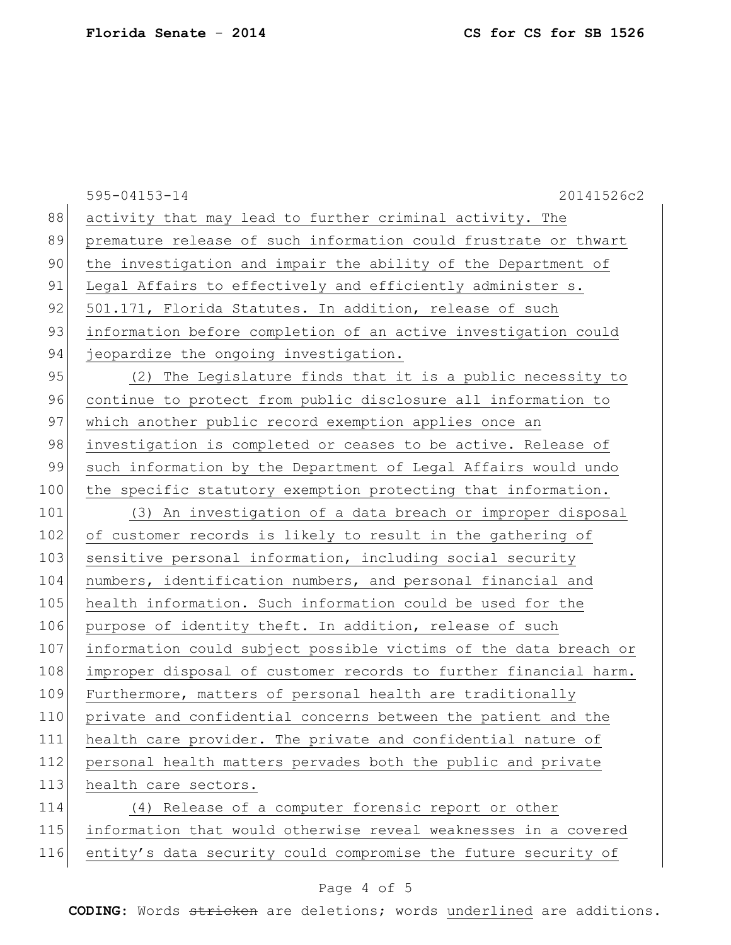| 595-04153-14<br>20141526c2                                       |
|------------------------------------------------------------------|
| activity that may lead to further criminal activity. The         |
| premature release of such information could frustrate or thwart  |
| the investigation and impair the ability of the Department of    |
| Legal Affairs to effectively and efficiently administer s.       |
| 501.171, Florida Statutes. In addition, release of such          |
| information before completion of an active investigation could   |
| jeopardize the ongoing investigation.                            |
| (2) The Legislature finds that it is a public necessity to       |
| continue to protect from public disclosure all information to    |
| which another public record exemption applies once an            |
| investigation is completed or ceases to be active. Release of    |
| such information by the Department of Legal Affairs would undo   |
| the specific statutory exemption protecting that information.    |
| (3) An investigation of a data breach or improper disposal       |
| of customer records is likely to result in the gathering of      |
| sensitive personal information, including social security        |
| numbers, identification numbers, and personal financial and      |
| health information. Such information could be used for the       |
| purpose of identity theft. In addition, release of such          |
| information could subject possible victims of the data breach or |
| improper disposal of customer records to further financial harm. |
| Furthermore, matters of personal health are traditionally        |
| private and confidential concerns between the patient and the    |
| health care provider. The private and confidential nature of     |
| personal health matters pervades both the public and private     |
| health care sectors.                                             |
| (4) Release of a computer forensic report or other               |
| information that would otherwise reveal weaknesses in a covered  |
| entity's data security could compromise the future security of   |
|                                                                  |

# Page 4 of 5